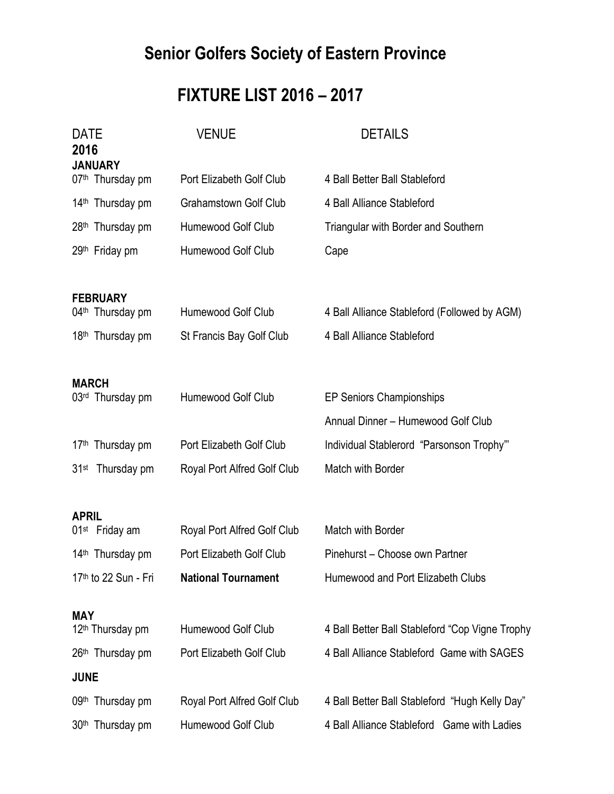# **Senior Golfers Society of Eastern Province**

## **FIXTURE LIST 2016 – 2017**

| <b>DATE</b><br>2016<br><b>JANUARY</b>           | <b>VENUE</b>                 | <b>DETAILS</b>                                  |  |
|-------------------------------------------------|------------------------------|-------------------------------------------------|--|
| 07th Thursday pm                                | Port Elizabeth Golf Club     | 4 Ball Better Ball Stableford                   |  |
| 14 <sup>th</sup> Thursday pm                    | <b>Grahamstown Golf Club</b> | 4 Ball Alliance Stableford                      |  |
| 28 <sup>th</sup> Thursday pm                    | Humewood Golf Club           | <b>Triangular with Border and Southern</b>      |  |
| 29th Friday pm                                  | Humewood Golf Club           | Cape                                            |  |
| <b>FEBRUARY</b><br>04 <sup>th</sup> Thursday pm | Humewood Golf Club           | 4 Ball Alliance Stableford (Followed by AGM)    |  |
| 18 <sup>th</sup> Thursday pm                    | St Francis Bay Golf Club     | 4 Ball Alliance Stableford                      |  |
| <b>MARCH</b>                                    |                              |                                                 |  |
| 03rd Thursday pm                                | Humewood Golf Club           | <b>EP Seniors Championships</b>                 |  |
|                                                 |                              | Annual Dinner - Humewood Golf Club              |  |
| 17 <sup>th</sup> Thursday pm                    | Port Elizabeth Golf Club     | Individual Stablerord "Parsonson Trophy"        |  |
| 31 <sup>st</sup> Thursday pm                    | Royal Port Alfred Golf Club  | Match with Border                               |  |
| <b>APRIL</b>                                    |                              |                                                 |  |
| 01 <sup>st</sup> Friday am                      | Royal Port Alfred Golf Club  | Match with Border                               |  |
| 14 <sup>th</sup> Thursday pm                    | Port Elizabeth Golf Club     | Pinehurst - Choose own Partner                  |  |
| 17th to 22 Sun - Fri                            | <b>National Tournament</b>   | Humewood and Port Elizabeth Clubs               |  |
| <b>MAY</b>                                      |                              |                                                 |  |
| 12 <sup>th</sup> Thursday pm                    | Humewood Golf Club           | 4 Ball Better Ball Stableford "Cop Vigne Trophy |  |
| 26th Thursday pm                                | Port Elizabeth Golf Club     | 4 Ball Alliance Stableford Game with SAGES      |  |
| <b>JUNE</b>                                     |                              |                                                 |  |
| 09th Thursday pm                                | Royal Port Alfred Golf Club  | 4 Ball Better Ball Stableford "Hugh Kelly Day"  |  |
| 30 <sup>th</sup> Thursday pm                    | Humewood Golf Club           | 4 Ball Alliance Stableford Game with Ladies     |  |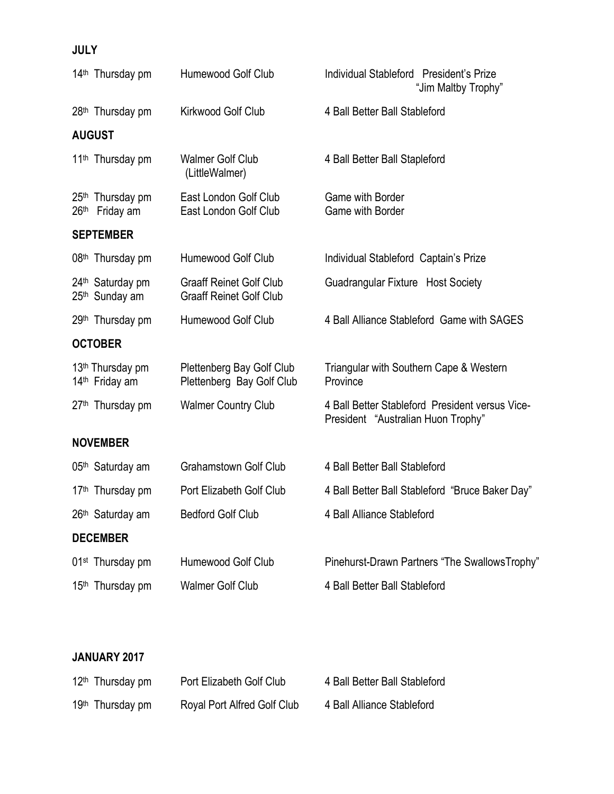## **JULY**

|                  | 14 <sup>th</sup> Thursday pm                               | Humewood Golf Club                                               | Individual Stableford President's Prize<br>"Jim Maltby Trophy"                        |
|------------------|------------------------------------------------------------|------------------------------------------------------------------|---------------------------------------------------------------------------------------|
|                  | 28 <sup>th</sup> Thursday pm                               | Kirkwood Golf Club                                               | 4 Ball Better Ball Stableford                                                         |
|                  | <b>AUGUST</b>                                              |                                                                  |                                                                                       |
|                  | 11 <sup>th</sup> Thursday pm                               | <b>Walmer Golf Club</b><br>(LittleWalmer)                        | 4 Ball Better Ball Stapleford                                                         |
| 26 <sup>th</sup> | 25 <sup>th</sup> Thursday pm<br>Friday am                  | East London Golf Club<br>East London Golf Club                   | <b>Game with Border</b><br><b>Game with Border</b>                                    |
|                  | <b>SEPTEMBER</b>                                           |                                                                  |                                                                                       |
|                  | 08 <sup>th</sup> Thursday pm                               | Humewood Golf Club                                               | Individual Stableford Captain's Prize                                                 |
|                  | 24 <sup>th</sup> Saturday pm<br>25 <sup>th</sup> Sunday am | <b>Graaff Reinet Golf Club</b><br><b>Graaff Reinet Golf Club</b> | Guadrangular Fixture Host Society                                                     |
|                  | 29 <sup>th</sup> Thursday pm                               | Humewood Golf Club                                               | 4 Ball Alliance Stableford Game with SAGES                                            |
|                  | <b>OCTOBER</b>                                             |                                                                  |                                                                                       |
|                  | 13 <sup>th</sup> Thursday pm<br>14 <sup>th</sup> Friday am | Plettenberg Bay Golf Club<br>Plettenberg Bay Golf Club           | Triangular with Southern Cape & Western<br>Province                                   |
|                  | 27 <sup>th</sup> Thursday pm                               | <b>Walmer Country Club</b>                                       | 4 Ball Better Stableford President versus Vice-<br>President "Australian Huon Trophy" |
|                  | <b>NOVEMBER</b>                                            |                                                                  |                                                                                       |
|                  | 05 <sup>th</sup> Saturday am                               | <b>Grahamstown Golf Club</b>                                     | 4 Ball Better Ball Stableford                                                         |
|                  | 17 <sup>th</sup> Thursday pm                               | Port Elizabeth Golf Club                                         | 4 Ball Better Ball Stableford "Bruce Baker Day"                                       |
|                  | 26th Saturday am                                           | <b>Bedford Golf Club</b>                                         | 4 Ball Alliance Stableford                                                            |
|                  | <b>DECEMBER</b>                                            |                                                                  |                                                                                       |
|                  | 01 <sup>st</sup> Thursday pm                               | Humewood Golf Club                                               | Pinehurst-Drawn Partners "The SwallowsTrophy"                                         |
|                  | 15th Thursday pm                                           | <b>Walmer Golf Club</b>                                          | 4 Ball Better Ball Stableford                                                         |

#### **JANUARY 2017**

| 12 <sup>th</sup> Thursday pm | Port Elizabeth Golf Club    | 4 Ball Better Ball Stableford |
|------------------------------|-----------------------------|-------------------------------|
| 19 <sup>th</sup> Thursday pm | Royal Port Alfred Golf Club | 4 Ball Alliance Stableford    |